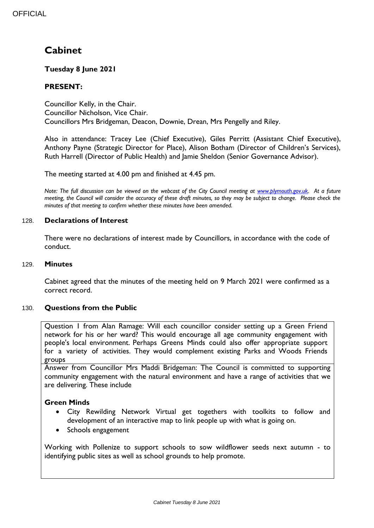# **Cabinet**

# **Tuesday 8 June 2021**

# **PRESENT:**

Councillor Kelly, in the Chair. Councillor Nicholson, Vice Chair. Councillors Mrs Bridgeman, Deacon, Downie, Drean, Mrs Pengelly and Riley.

Also in attendance: Tracey Lee (Chief Executive), Giles Perritt (Assistant Chief Executive), Anthony Payne (Strategic Director for Place), Alison Botham (Director of Children's Services), Ruth Harrell (Director of Public Health) and Jamie Sheldon (Senior Governance Advisor).

The meeting started at 4.00 pm and finished at 4.45 pm.

*Note: The full discussion can be viewed on the webcast of the City Council meeting at [www.plymouth.gov.uk.](http://www.plymouth.gov.uk/) At a future meeting, the Council will consider the accuracy of these draft minutes, so they may be subject to change. Please check the minutes of that meeting to confirm whether these minutes have been amended.*

#### 128. **Declarations of Interest**

There were no declarations of interest made by Councillors, in accordance with the code of conduct.

#### 129. **Minutes**

Cabinet agreed that the minutes of the meeting held on 9 March 2021 were confirmed as a correct record.

#### 130. **Questions from the Public**

Question 1 from Alan Ramage: Will each councillor consider setting up a Green Friend network for his or her ward? This would encourage all age community engagement with people's local environment. Perhaps Greens Minds could also offer appropriate support for a variety of activities. They would complement existing Parks and Woods Friends groups

Answer from Councillor Mrs Maddi Bridgeman: The Council is committed to supporting community engagement with the natural environment and have a range of activities that we are delivering. These include

#### **Green Minds**

- City Rewilding Network Virtual get togethers with toolkits to follow and development of an interactive map to link people up with what is going on.
- Schools engagement

Working with Pollenize to support schools to sow wildflower seeds next autumn - to identifying public sites as well as school grounds to help promote.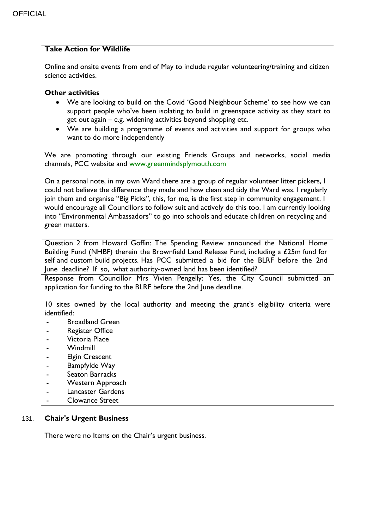# **Take Action for Wildlife**

Online and onsite events from end of May to include regular volunteering/training and citizen science activities.

## **Other activities**

- We are looking to build on the Covid 'Good Neighbour Scheme' to see how we can support people who've been isolating to build in greenspace activity as they start to get out again – e.g. widening activities beyond shopping etc.
- We are building a programme of events and activities and support for groups who want to do more independently

We are promoting through our existing Friends Groups and networks, social media channels, PCC website and www.greenmindsplymouth.com

On a personal note, in my own Ward there are a group of regular volunteer litter pickers, I could not believe the difference they made and how clean and tidy the Ward was. I regularly join them and organise "Big Picks", this, for me, is the first step in community engagement. I would encourage all Councillors to follow suit and actively do this too. I am currently looking into "Environmental Ambassadors" to go into schools and educate children on recycling and green matters.

Question 2 from Howard Goffin: The Spending Review announced the National Home Building Fund (NHBF) therein the Brownfield Land Release Fund, including a £25m fund for self and custom build projects. Has PCC submitted a bid for the BLRF before the 2nd June deadline? If so, what authority-owned land has been identified?

Response from Councillor Mrs Vivien Pengelly: Yes, the City Council submitted an application for funding to the BLRF before the 2nd June deadline.

10 sites owned by the local authority and meeting the grant's eligibility criteria were identified:

- Broadland Green
- **Register Office**
- Victoria Place
- **Windmill**
- Elgin Crescent
- Bampfylde Way
- Seaton Barracks
- Western Approach
- Lancaster Gardens
- Clowance Street

#### 131. **Chair's Urgent Business**

There were no Items on the Chair's urgent business.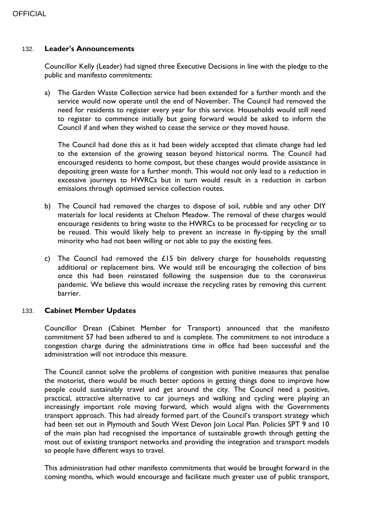## **OFFICIAL**

#### 132. **Leader's Announcements**

Councillor Kelly (Leader) had signed three Executive Decisions in line with the pledge to the public and manifesto commitments:

a) The Garden Waste Collection service had been extended for a further month and the service would now operate until the end of November. The Council had removed the need for residents to register every year for this service. Households would still need to register to commence initially but going forward would be asked to inform the Council if and when they wished to cease the service or they moved house.

The Council had done this as it had been widely accepted that climate change had led to the extension of the growing season beyond historical norms. The Council had encouraged residents to home compost, but these changes would provide assistance in depositing green waste for a further month. This would not only lead to a reduction in excessive journeys to HWRCs but in turn would result in a reduction in carbon emissions through optimised service collection routes.

- b) The Council had removed the charges to dispose of soil, rubble and any other DIY materials for local residents at Chelson Meadow. The removal of these charges would encourage residents to bring waste to the HWRCs to be processed for recycling or to be reused. This would likely help to prevent an increase in fly-tipping by the small minority who had not been willing or not able to pay the existing fees.
- c) The Council had removed the  $£15$  bin delivery charge for households requesting additional or replacement bins. We would still be encouraging the collection of bins once this had been reinstated following the suspension due to the coronavirus pandemic. We believe this would increase the recycling rates by removing this current barrier.

#### 133. **Cabinet Member Updates**

Councillor Drean (Cabinet Member for Transport) announced that the manifesto commitment 57 had been adhered to and is complete. The commitment to not introduce a congestion charge during the administrations time in office had been successful and the administration will not introduce this measure.

The Council cannot solve the problems of congestion with punitive measures that penalise the motorist, there would be much better options in getting things done to improve how people could sustainably travel and get around the city. The Council need a positive, practical, attractive alternative to car journeys and walking and cycling were playing an increasingly important role moving forward, which would aligns with the Governments transport approach. This had already formed part of the Council's transport strategy which had been set out in Plymouth and South West Devon Join Local Plan. Policies SPT 9 and 10 of the main plan had recognised the importance of sustainable growth through getting the most out of existing transport networks and providing the integration and transport models so people have different ways to travel.

This administration had other manifesto commitments that would be brought forward in the coming months, which would encourage and facilitate much greater use of public transport,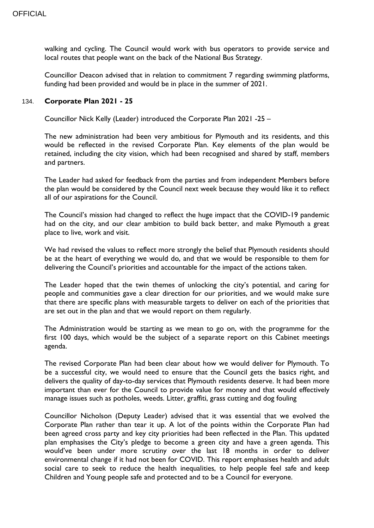walking and cycling. The Council would work with bus operators to provide service and local routes that people want on the back of the National Bus Strategy.

Councillor Deacon advised that in relation to commitment 7 regarding swimming platforms, funding had been provided and would be in place in the summer of 2021.

#### 134. **Corporate Plan 2021 - 25**

Councillor Nick Kelly (Leader) introduced the Corporate Plan 2021 -25 –

The new administration had been very ambitious for Plymouth and its residents, and this would be reflected in the revised Corporate Plan. Key elements of the plan would be retained, including the city vision, which had been recognised and shared by staff, members and partners.

The Leader had asked for feedback from the parties and from independent Members before the plan would be considered by the Council next week because they would like it to reflect all of our aspirations for the Council.

The Council's mission had changed to reflect the huge impact that the COVID-19 pandemic had on the city, and our clear ambition to build back better, and make Plymouth a great place to live, work and visit.

We had revised the values to reflect more strongly the belief that Plymouth residents should be at the heart of everything we would do, and that we would be responsible to them for delivering the Council's priorities and accountable for the impact of the actions taken.

The Leader hoped that the twin themes of unlocking the city's potential, and caring for people and communities gave a clear direction for our priorities, and we would make sure that there are specific plans with measurable targets to deliver on each of the priorities that are set out in the plan and that we would report on them regularly.

The Administration would be starting as we mean to go on, with the programme for the first 100 days, which would be the subject of a separate report on this Cabinet meetings agenda.

The revised Corporate Plan had been clear about how we would deliver for Plymouth. To be a successful city, we would need to ensure that the Council gets the basics right, and delivers the quality of day-to-day services that Plymouth residents deserve. It had been more important than ever for the Council to provide value for money and that would effectively manage issues such as potholes, weeds. Litter, graffiti, grass cutting and dog fouling

Councillor Nicholson (Deputy Leader) advised that it was essential that we evolved the Corporate Plan rather than tear it up. A lot of the points within the Corporate Plan had been agreed cross party and key city priorities had been reflected in the Plan. This updated plan emphasises the City's pledge to become a green city and have a green agenda. This would've been under more scrutiny over the last 18 months in order to deliver environmental change if it had not been for COVID. This report emphasises health and adult social care to seek to reduce the health inequalities, to help people feel safe and keep Children and Young people safe and protected and to be a Council for everyone.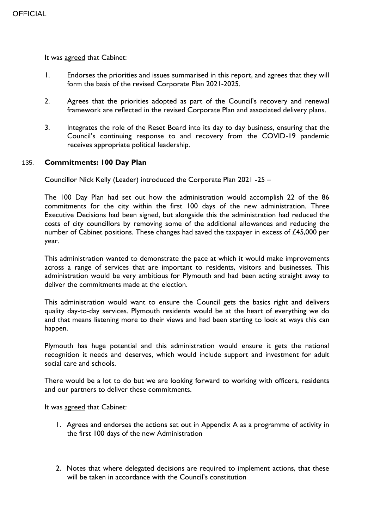It was agreed that Cabinet:

- 1. Endorses the priorities and issues summarised in this report, and agrees that they will form the basis of the revised Corporate Plan 2021-2025.
- 2. Agrees that the priorities adopted as part of the Council's recovery and renewal framework are reflected in the revised Corporate Plan and associated delivery plans.
- 3. Integrates the role of the Reset Board into its day to day business, ensuring that the Council's continuing response to and recovery from the COVID-19 pandemic receives appropriate political leadership.

## 135. **Commitments: 100 Day Plan**

Councillor Nick Kelly (Leader) introduced the Corporate Plan 2021 -25 –

The 100 Day Plan had set out how the administration would accomplish 22 of the 86 commitments for the city within the first 100 days of the new administration. Three Executive Decisions had been signed, but alongside this the administration had reduced the costs of city councillors by removing some of the additional allowances and reducing the number of Cabinet positions. These changes had saved the taxpayer in excess of £45,000 per year.

This administration wanted to demonstrate the pace at which it would make improvements across a range of services that are important to residents, visitors and businesses. This administration would be very ambitious for Plymouth and had been acting straight away to deliver the commitments made at the election.

This administration would want to ensure the Council gets the basics right and delivers quality day-to-day services. Plymouth residents would be at the heart of everything we do and that means listening more to their views and had been starting to look at ways this can happen.

Plymouth has huge potential and this administration would ensure it gets the national recognition it needs and deserves, which would include support and investment for adult social care and schools.

There would be a lot to do but we are looking forward to working with officers, residents and our partners to deliver these commitments.

It was agreed that Cabinet:

- 1. Agrees and endorses the actions set out in Appendix A as a programme of activity in the first 100 days of the new Administration
- 2. Notes that where delegated decisions are required to implement actions, that these will be taken in accordance with the Council's constitution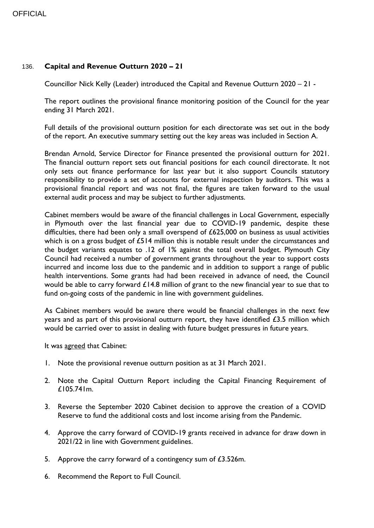# 136. **Capital and Revenue Outturn 2020 – 21**

Councillor Nick Kelly (Leader) introduced the Capital and Revenue Outturn 2020 – 21 -

The report outlines the provisional finance monitoring position of the Council for the year ending 31 March 2021.

Full details of the provisional outturn position for each directorate was set out in the body of the report. An executive summary setting out the key areas was included in Section A.

Brendan Arnold, Service Director for Finance presented the provisional outturn for 2021. The financial outturn report sets out financial positions for each council directorate. It not only sets out finance performance for last year but it also support Councils statutory responsibility to provide a set of accounts for external inspection by auditors. This was a provisional financial report and was not final, the figures are taken forward to the usual external audit process and may be subject to further adjustments.

Cabinet members would be aware of the financial challenges in Local Government, especially in Plymouth over the last financial year due to COVID-19 pandemic, despite these difficulties, there had been only a small overspend of £625,000 on business as usual activities which is on a gross budget of £514 million this is notable result under the circumstances and the budget variants equates to .12 of 1% against the total overall budget. Plymouth City Council had received a number of government grants throughout the year to support costs incurred and income loss due to the pandemic and in addition to support a range of public health interventions. Some grants had had been received in advance of need, the Council would be able to carry forward £14.8 million of grant to the new financial year to sue that to fund on-going costs of the pandemic in line with government guidelines.

As Cabinet members would be aware there would be financial challenges in the next few years and as part of this provisional outturn report, they have identified £3.5 million which would be carried over to assist in dealing with future budget pressures in future years.

It was agreed that Cabinet:

- 1. Note the provisional revenue outturn position as at 31 March 2021.
- 2. Note the Capital Outturn Report including the Capital Financing Requirement of £105.741m.
- 3. Reverse the September 2020 Cabinet decision to approve the creation of a COVID Reserve to fund the additional costs and lost income arising from the Pandemic.
- 4. Approve the carry forward of COVID-19 grants received in advance for draw down in 2021/22 in line with Government guidelines.
- 5. Approve the carry forward of a contingency sum of £3.526m.
- 6. Recommend the Report to Full Council.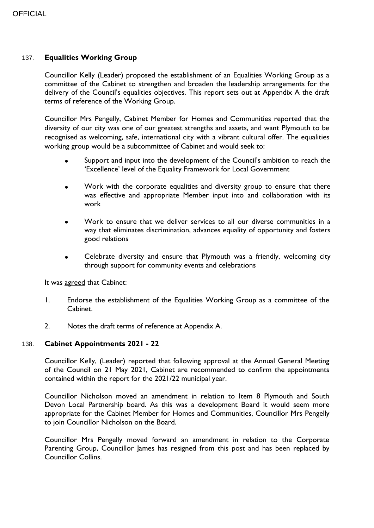## 137. **Equalities Working Group**

Councillor Kelly (Leader) proposed the establishment of an Equalities Working Group as a committee of the Cabinet to strengthen and broaden the leadership arrangements for the delivery of the Council's equalities objectives. This report sets out at Appendix A the draft terms of reference of the Working Group.

Councillor Mrs Pengelly, Cabinet Member for Homes and Communities reported that the diversity of our city was one of our greatest strengths and assets, and want Plymouth to be recognised as welcoming, safe, international city with a vibrant cultural offer. The equalities working group would be a subcommittee of Cabinet and would seek to:

- Support and input into the development of the Council's ambition to reach the 'Excellence' level of the Equality Framework for Local Government
- Work with the corporate equalities and diversity group to ensure that there was effective and appropriate Member input into and collaboration with its work
- Work to ensure that we deliver services to all our diverse communities in a way that eliminates discrimination, advances equality of opportunity and fosters good relations
- Celebrate diversity and ensure that Plymouth was a friendly, welcoming city through support for community events and celebrations

It was agreed that Cabinet:

- 1. Endorse the establishment of the Equalities Working Group as a committee of the Cabinet.
- 2. Notes the draft terms of reference at Appendix A.

#### 138. **Cabinet Appointments 2021 - 22**

Councillor Kelly, (Leader) reported that following approval at the Annual General Meeting of the Council on 21 May 2021, Cabinet are recommended to confirm the appointments contained within the report for the 2021/22 municipal year.

Councillor Nicholson moved an amendment in relation to Item 8 Plymouth and South Devon Local Partnership board. As this was a development Board it would seem more appropriate for the Cabinet Member for Homes and Communities, Councillor Mrs Pengelly to join Councillor Nicholson on the Board.

Councillor Mrs Pengelly moved forward an amendment in relation to the Corporate Parenting Group, Councillor James has resigned from this post and has been replaced by Councillor Collins.